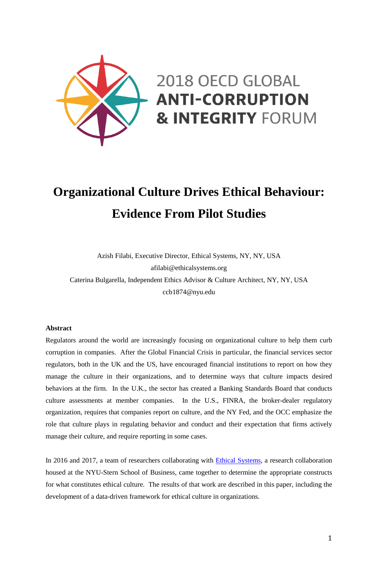

# **Organizational Culture Drives Ethical Behaviour: Evidence From Pilot Studies**

Azish Filabi, Executive Director, Ethical Systems, NY, NY, USA afilabi@ethicalsystems.org Caterina Bulgarella, Independent Ethics Advisor & Culture Architect, NY, NY, USA ccb1874@nyu.edu

#### **Abstract**

Regulators around the world are increasingly focusing on organizational culture to help them curb corruption in companies. After the Global Financial Crisis in particular, the financial services sector regulators, both in the UK and the US, have encouraged financial institutions to report on how they manage the culture in their organizations, and to determine ways that culture impacts desired behaviors at the firm. In the U.K., the sector has created a Banking Standards Board that conducts culture assessments at member companies. In the U.S., FINRA, the broker-dealer regulatory organization, requires that companies report on culture, and the NY Fed, and the OCC emphasize the role that culture plays in regulating behavior and conduct and their expectation that firms actively manage their culture, and require reporting in some cases.

In 2016 and 2017, a team of researchers collaborating with **Ethical Systems**, a research collaboration housed at the NYU-Stern School of Business, came together to determine the appropriate constructs for what constitutes ethical culture. The results of that work are described in this paper, including the development of a data-driven framework for ethical culture in organizations.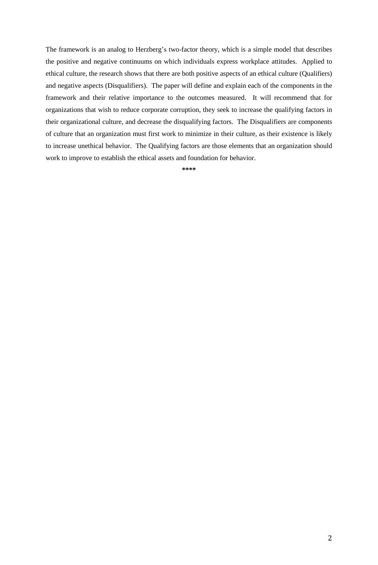The framework is an analog to Herzberg's two-factor theory, which is a simple model that describes the positive and negative continuums on which individuals express workplace attitudes. Applied to ethical culture, the research shows that there are both positive aspects of an ethical culture (Qualifiers) and negative aspects (Disqualifiers). The paper will define and explain each of the components in the framework and their relative importance to the outcomes measured. It will recommend that for organizations that wish to reduce corporate corruption, they seek to increase the qualifying factors in their organizational culture, and decrease the disqualifying factors. The Disqualifiers are components of culture that an organization must first work to minimize in their culture, as their existence is likely to increase unethical behavior. The Qualifying factors are those elements that an organization should work to improve to establish the ethical assets and foundation for behavior.

**\*\*\*\***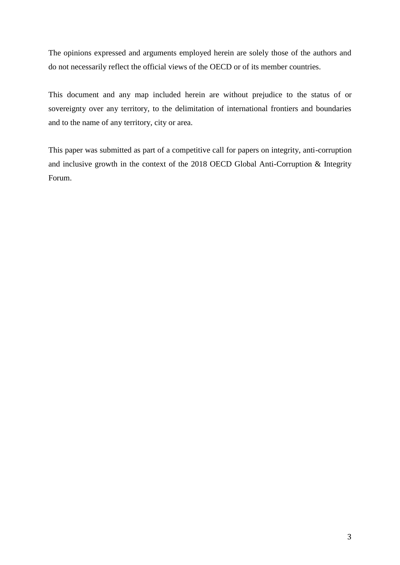The opinions expressed and arguments employed herein are solely those of the authors and do not necessarily reflect the official views of the OECD or of its member countries.

This document and any map included herein are without prejudice to the status of or sovereignty over any territory, to the delimitation of international frontiers and boundaries and to the name of any territory, city or area.

This paper was submitted as part of a competitive call for papers on integrity, anti-corruption and inclusive growth in the context of the 2018 OECD Global Anti-Corruption & Integrity Forum.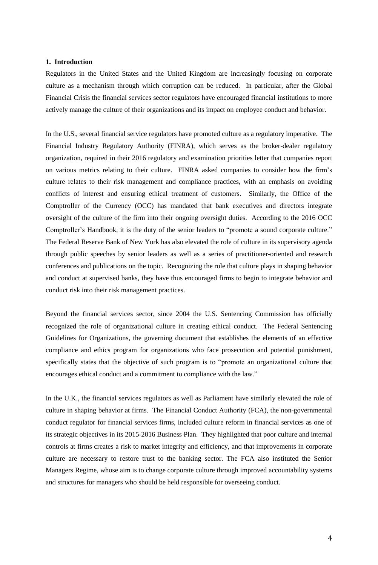## **1. Introduction**

Regulators in the United States and the United Kingdom are increasingly focusing on corporate culture as a mechanism through which corruption can be reduced. In particular, after the Global Financial Crisis the financial services sector regulators have encouraged financial institutions to more actively manage the culture of their organizations and its impact on employee conduct and behavior.

In the U.S., several financial service regulators have promoted culture as a regulatory imperative. The Financial Industry Regulatory Authority (FINRA), which serves as the broker-dealer regulatory organization, required in their 2016 regulatory and examination priorities letter that companies report on various metrics relating to their culture. FINRA asked companies to consider how the firm's culture relates to their risk management and compliance practices, with an emphasis on avoiding conflicts of interest and ensuring ethical treatment of customers. Similarly, the Office of the Comptroller of the Currency (OCC) has mandated that bank executives and directors integrate oversight of the culture of the firm into their ongoing oversight duties. According to the 2016 OCC Comptroller's Handbook, it is the duty of the senior leaders to "promote a sound corporate culture." The Federal Reserve Bank of New York has also elevated the role of culture in its supervisory agenda through public speeches by senior leaders as well as a series of practitioner-oriented and research conferences and publications on the topic. Recognizing the role that culture plays in shaping behavior and conduct at supervised banks, they have thus encouraged firms to begin to integrate behavior and conduct risk into their risk management practices.

Beyond the financial services sector, since 2004 the U.S. Sentencing Commission has officially recognized the role of organizational culture in creating ethical conduct. The Federal Sentencing Guidelines for Organizations, the governing document that establishes the elements of an effective compliance and ethics program for organizations who face prosecution and potential punishment, specifically states that the objective of such program is to "promote an organizational culture that encourages ethical conduct and a commitment to compliance with the law."

In the U.K., the financial services regulators as well as Parliament have similarly elevated the role of culture in shaping behavior at firms. The Financial Conduct Authority (FCA), the non-governmental conduct regulator for financial services firms, included culture reform in financial services as one of its strategic objectives in its 2015-2016 Business Plan. They highlighted that poor culture and internal controls at firms creates a risk to market integrity and efficiency, and that improvements in corporate culture are necessary to restore trust to the banking sector. The FCA also instituted the Senior Managers Regime, whose aim is to change corporate culture through improved accountability systems and structures for managers who should be held responsible for overseeing conduct.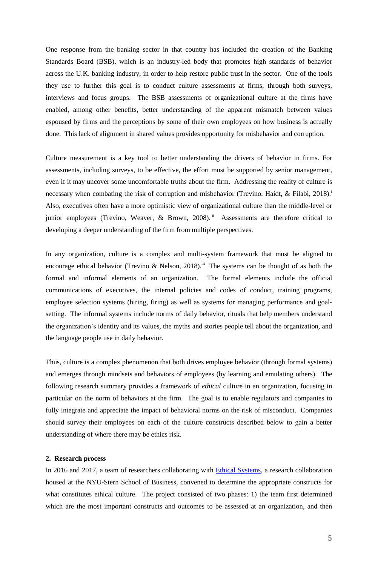One response from the banking sector in that country has included the creation of the Banking Standards Board (BSB), which is an industry-led body that promotes high standards of behavior across the U.K. banking industry, in order to help restore public trust in the sector. One of the tools they use to further this goal is to conduct culture assessments at firms, through both surveys, interviews and focus groups. The BSB assessments of organizational culture at the firms have enabled, among other benefits, better understanding of the apparent mismatch between values espoused by firms and the perceptions by some of their own employees on how business is actually done. This lack of alignment in shared values provides opportunity for misbehavior and corruption.

Culture measurement is a key tool to better understanding the drivers of behavior in firms. For assessments, including surveys, to be effective, the effort must be supported by senior management, even if it may uncover some uncomfortable truths about the firm. Addressing the reality of culture is necessary when combating the risk of corruption and misbehavior (Trevino, Haidt, & Filabi, 2018).<sup>i</sup> Also, executives often have a more optimistic view of organizational culture than the middle-level or junior employees (Trevino, Weaver, & Brown, 2008).<sup>ii</sup> Assessments are therefore critical to developing a deeper understanding of the firm from multiple perspectives.

In any organization, culture is a complex and multi-system framework that must be aligned to encourage ethical behavior (Trevino & Nelson, 2018).<sup>iii</sup> The systems can be thought of as both the formal and informal elements of an organization. The formal elements include the official communications of executives, the internal policies and codes of conduct, training programs, employee selection systems (hiring, firing) as well as systems for managing performance and goalsetting. The informal systems include norms of daily behavior, rituals that help members understand the organization's identity and its values, the myths and stories people tell about the organization, and the language people use in daily behavior.

Thus, culture is a complex phenomenon that both drives employee behavior (through formal systems) and emerges through mindsets and behaviors of employees (by learning and emulating others). The following research summary provides a framework of *ethical* culture in an organization, focusing in particular on the norm of behaviors at the firm. The goal is to enable regulators and companies to fully integrate and appreciate the impact of behavioral norms on the risk of misconduct. Companies should survey their employees on each of the culture constructs described below to gain a better understanding of where there may be ethics risk.

# **2. Research process**

In 2016 and 2017, a team of researchers collaborating with Ethical [Systems,](http://www.ethicalsystems.org/) a research collaboration housed at the NYU-Stern School of Business, convened to determine the appropriate constructs for what constitutes ethical culture. The project consisted of two phases: 1) the team first determined which are the most important constructs and outcomes to be assessed at an organization, and then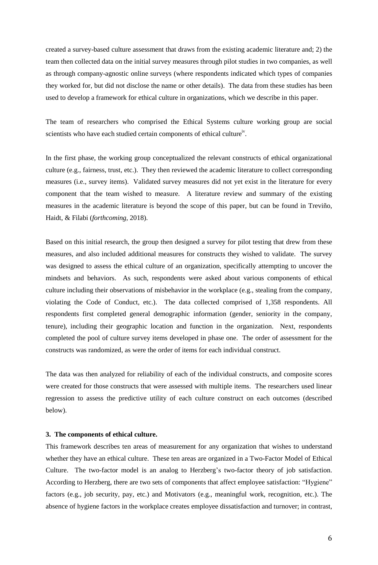created a survey-based culture assessment that draws from the existing academic literature and; 2) the team then collected data on the initial survey measures through pilot studies in two companies, as well as through company-agnostic online surveys (where respondents indicated which types of companies they worked for, but did not disclose the name or other details). The data from these studies has been used to develop a framework for ethical culture in organizations, which we describe in this paper.

The team of researchers who comprised the Ethical Systems culture working group are social scientists who have each studied certain components of ethical cultureiv.

In the first phase, the working group conceptualized the relevant constructs of ethical organizational culture (e.g., fairness, trust, etc.). They then reviewed the academic literature to collect corresponding measures (i.e., survey items). Validated survey measures did not yet exist in the literature for every component that the team wished to measure. A literature review and summary of the existing measures in the academic literature is beyond the scope of this paper, but can be found in Treviño, Haidt, & Filabi (*forthcoming*, 2018).

Based on this initial research, the group then designed a survey for pilot testing that drew from these measures, and also included additional measures for constructs they wished to validate. The survey was designed to assess the ethical culture of an organization, specifically attempting to uncover the mindsets and behaviors. As such, respondents were asked about various components of ethical culture including their observations of misbehavior in the workplace (e.g., stealing from the company, violating the Code of Conduct, etc.). The data collected comprised of 1,358 respondents. All respondents first completed general demographic information (gender, seniority in the company, tenure), including their geographic location and function in the organization. Next, respondents completed the pool of culture survey items developed in phase one. The order of assessment for the constructs was randomized, as were the order of items for each individual construct.

The data was then analyzed for reliability of each of the individual constructs, and composite scores were created for those constructs that were assessed with multiple items. The researchers used linear regression to assess the predictive utility of each culture construct on each outcomes (described below).

## **3. The components of ethical culture.**

This framework describes ten areas of measurement for any organization that wishes to understand whether they have an ethical culture. These ten areas are organized in a Two-Factor Model of Ethical Culture. The two-factor model is an analog to Herzberg's two-factor theory of job satisfaction. According to Herzberg, there are two sets of components that affect employee satisfaction: "Hygiene" factors (e.g., job security, pay, etc.) and Motivators (e.g., meaningful work, recognition, etc.). The absence of hygiene factors in the workplace creates employee dissatisfaction and turnover; in contrast,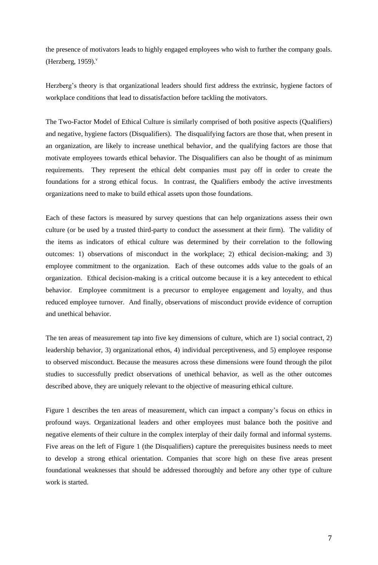the presence of motivators leads to highly engaged employees who wish to further the company goals. (Herzberg,  $1959$ ).

Herzberg's theory is that organizational leaders should first address the extrinsic, hygiene factors of workplace conditions that lead to dissatisfaction before tackling the motivators.

The Two-Factor Model of Ethical Culture is similarly comprised of both positive aspects (Qualifiers) and negative, hygiene factors (Disqualifiers). The disqualifying factors are those that, when present in an organization, are likely to increase unethical behavior, and the qualifying factors are those that motivate employees towards ethical behavior. The Disqualifiers can also be thought of as minimum requirements. They represent the ethical debt companies must pay off in order to create the foundations for a strong ethical focus. In contrast, the Qualifiers embody the active investments organizations need to make to build ethical assets upon those foundations.

Each of these factors is measured by survey questions that can help organizations assess their own culture (or be used by a trusted third-party to conduct the assessment at their firm). The validity of the items as indicators of ethical culture was determined by their correlation to the following outcomes: 1) observations of misconduct in the workplace; 2) ethical decision-making; and 3) employee commitment to the organization. Each of these outcomes adds value to the goals of an organization. Ethical decision-making is a critical outcome because it is a key antecedent to ethical behavior. Employee commitment is a precursor to employee engagement and loyalty, and thus reduced employee turnover. And finally, observations of misconduct provide evidence of corruption and unethical behavior.

The ten areas of measurement tap into five key dimensions of culture, which are 1) social contract, 2) leadership behavior, 3) organizational ethos, 4) individual perceptiveness, and 5) employee response to observed misconduct. Because the measures across these dimensions were found through the pilot studies to successfully predict observations of unethical behavior, as well as the other outcomes described above, they are uniquely relevant to the objective of measuring ethical culture.

Figure 1 describes the ten areas of measurement, which can impact a company's focus on ethics in profound ways. Organizational leaders and other employees must balance both the positive and negative elements of their culture in the complex interplay of their daily formal and informal systems. Five areas on the left of Figure 1 (the Disqualifiers) capture the prerequisites business needs to meet to develop a strong ethical orientation. Companies that score high on these five areas present foundational weaknesses that should be addressed thoroughly and before any other type of culture work is started.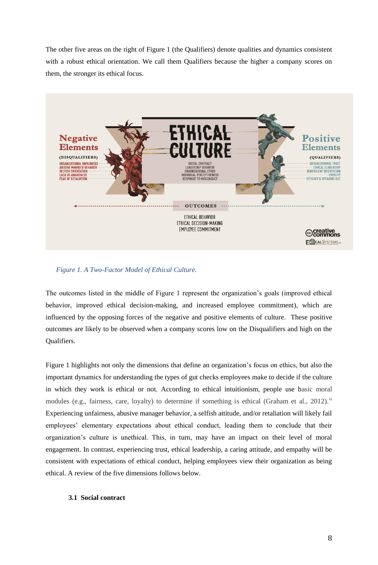The other five areas on the right of Figure 1 (the Qualifiers) denote qualities and dynamics consistent with a robust ethical orientation. We call them Qualifiers because the higher a company scores on them, the stronger its ethical focus.



 *Figure 1. A Two-Factor Model of Ethical Culture.*

The outcomes listed in the middle of Figure 1 represent the organization's goals (improved ethical behavior, improved ethical decision-making, and increased employee commitment), which are influenced by the opposing forces of the negative and positive elements of culture. These positive outcomes are likely to be observed when a company scores low on the Disqualifiers and high on the Qualifiers.

Figure 1 highlights not only the dimensions that define an organization's focus on ethics, but also the important dynamics for understanding the types of gut checks employees make to decide if the culture in which they work is ethical or not. According to ethical intuitionism, people use basic moral modules (e.g., fairness, care, loyalty) to determine if something is ethical (Graham et al., 2012).<sup>vi</sup> Experiencing unfairness, abusive manager behavior, a selfish attitude, and/or retaliation will likely fail employees' elementary expectations about ethical conduct, leading them to conclude that their organization's culture is unethical. This, in turn, may have an impact on their level of moral engagement. In contrast, experiencing trust, ethical leadership, a caring attitude, and empathy will be consistent with expectations of ethical conduct, helping employees view their organization as being ethical. A review of the five dimensions follows below.

# **3.1 Social contract**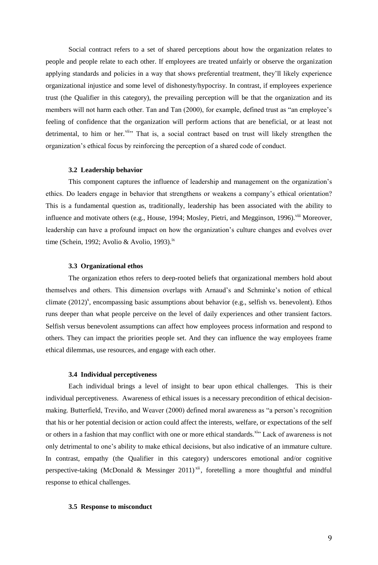Social contract refers to a set of shared perceptions about how the organization relates to people and people relate to each other. If employees are treated unfairly or observe the organization applying standards and policies in a way that shows preferential treatment, they'll likely experience organizational injustice and some level of dishonesty/hypocrisy. In contrast, if employees experience trust (the Qualifier in this category), the prevailing perception will be that the organization and its members will not harm each other. Tan and Tan (2000), for example, defined trust as "an employee's feeling of confidence that the organization will perform actions that are beneficial, or at least not detrimental, to him or her.<sup>vii</sup><sup>7</sup> That is, a social contract based on trust will likely strengthen the organization's ethical focus by reinforcing the perception of a shared code of conduct.

#### **3.2 Leadership behavior**

This component captures the influence of leadership and management on the organization's ethics. Do leaders engage in behavior that strengthens or weakens a company's ethical orientation? This is a fundamental question as, traditionally, leadership has been associated with the ability to influence and motivate others (e.g., House, 1994; Mosley, Pietri, and Megginson, 1996).<sup>viii</sup> Moreover, leadership can have a profound impact on how the organization's culture changes and evolves over time (Schein, 1992; Avolio & Avolio, 1993).<sup>ix</sup>

#### **3.3 Organizational ethos**

The organization ethos refers to deep-rooted beliefs that organizational members hold about themselves and others. This dimension overlaps with Arnaud's and Schminke's notion of ethical climate  $(2012)^x$ , encompassing basic assumptions about behavior (e.g., selfish vs. benevolent). Ethos runs deeper than what people perceive on the level of daily experiences and other transient factors. Selfish versus benevolent assumptions can affect how employees process information and respond to others. They can impact the priorities people set. And they can influence the way employees frame ethical dilemmas, use resources, and engage with each other.

#### **3.4 Individual perceptiveness**

Each individual brings a level of insight to bear upon ethical challenges. This is their individual perceptiveness. Awareness of ethical issues is a necessary precondition of ethical decisionmaking. Butterfield, Treviño, and Weaver (2000) defined moral awareness as "a person's recognition that his or her potential decision or action could affect the interests, welfare, or expectations of the self or others in a fashion that may conflict with one or more ethical standards.<sup>xi</sup> Lack of awareness is not only detrimental to one's ability to make ethical decisions, but also indicative of an immature culture. In contrast, empathy (the Qualifier in this category) underscores emotional and/or cognitive perspective-taking (McDonald & Messinger 2011)<sup>xii</sup>, foretelling a more thoughtful and mindful response to ethical challenges.

#### **3.5 Response to misconduct**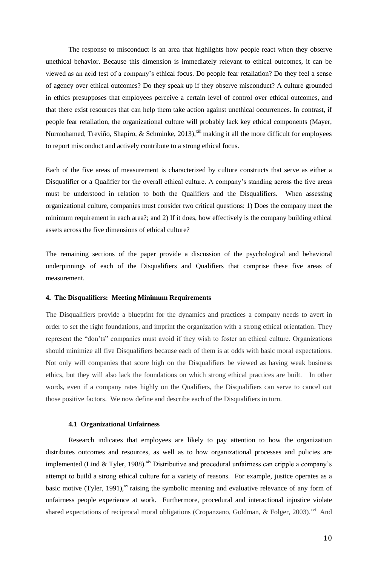The response to misconduct is an area that highlights how people react when they observe unethical behavior. Because this dimension is immediately relevant to ethical outcomes, it can be viewed as an acid test of a company's ethical focus. Do people fear retaliation? Do they feel a sense of agency over ethical outcomes? Do they speak up if they observe misconduct? A culture grounded in ethics presupposes that employees perceive a certain level of control over ethical outcomes, and that there exist resources that can help them take action against unethical occurrences. In contrast, if people fear retaliation, the organizational culture will probably lack key ethical components (Mayer, Nurmohamed, Treviño, Shapiro, & Schminke, 2013),<sup>xiii</sup> making it all the more difficult for employees to report misconduct and actively contribute to a strong ethical focus.

Each of the five areas of measurement is characterized by culture constructs that serve as either a Disqualifier or a Qualifier for the overall ethical culture. A company's standing across the five areas must be understood in relation to both the Qualifiers and the Disqualifiers. When assessing organizational culture, companies must consider two critical questions: 1) Does the company meet the minimum requirement in each area?; and 2) If it does, how effectively is the company building ethical assets across the five dimensions of ethical culture?

The remaining sections of the paper provide a discussion of the psychological and behavioral underpinnings of each of the Disqualifiers and Qualifiers that comprise these five areas of measurement.

## **4. The Disqualifiers: Meeting Minimum Requirements**

The Disqualifiers provide a blueprint for the dynamics and practices a company needs to avert in order to set the right foundations, and imprint the organization with a strong ethical orientation. They represent the "don'ts" companies must avoid if they wish to foster an ethical culture. Organizations should minimize all five Disqualifiers because each of them is at odds with basic moral expectations. Not only will companies that score high on the Disqualifiers be viewed as having weak business ethics, but they will also lack the foundations on which strong ethical practices are built. In other words, even if a company rates highly on the Qualifiers, the Disqualifiers can serve to cancel out those positive factors. We now define and describe each of the Disqualifiers in turn.

## **4.1 Organizational Unfairness**

Research indicates that employees are likely to pay attention to how the organization distributes outcomes and resources, as well as to how organizational processes and policies are implemented (Lind & Tyler, 1988).<sup>xiv</sup> Distributive and procedural unfairness can cripple a company's attempt to build a strong ethical culture for a variety of reasons. For example, justice operates as a basic motive (Tyler, 1991), $^{xy}$  raising the symbolic meaning and evaluative relevance of any form of unfairness people experience at work. Furthermore, procedural and interactional injustice violate shared expectations of reciprocal moral obligations (Cropanzano, Goldman, & Folger, 2003).<sup>xvi</sup> And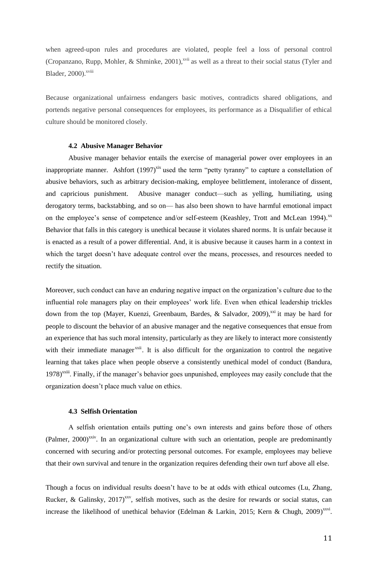when agreed-upon rules and procedures are violated, people feel a loss of personal control (Cropanzano, Rupp, Mohler, & Shminke, 2001),<sup>xvii</sup> as well as a threat to their social status (Tyler and Blader, 2000). xviii

Because organizational unfairness endangers basic motives, contradicts shared obligations, and portends negative personal consequences for employees, its performance as a Disqualifier of ethical culture should be monitored closely.

## **4.2 Abusive Manager Behavior**

Abusive manager behavior entails the exercise of managerial power over employees in an inappropriate manner. Ashfort  $(1997)^{xix}$  used the term "petty tyranny" to capture a constellation of abusive behaviors, such as arbitrary decision-making, employee belittlement, intolerance of dissent, and capricious punishment. Abusive manager conduct—such as yelling, humiliating, using derogatory terms, backstabbing, and so on— has also been shown to have harmful emotional impact on the employee's sense of competence and/or self-esteem (Keashley, Trott and McLean 1994).<sup>xx</sup> Behavior that falls in this category is unethical because it violates shared norms. It is unfair because it is enacted as a result of a power differential. And, it is abusive because it causes harm in a context in which the target doesn't have adequate control over the means, processes, and resources needed to rectify the situation.

Moreover, such conduct can have an enduring negative impact on the organization's culture due to the influential role managers play on their employees' work life. Even when ethical leadership trickles down from the top (Mayer, Kuenzi, Greenbaum, Bardes, & Salvador, 2009),<sup>xxi</sup> it may be hard for people to discount the behavior of an abusive manager and the negative consequences that ensue from an experience that has such moral intensity, particularly as they are likely to interact more consistently with their immediate manager<sup>xxii</sup>. It is also difficult for the organization to control the negative learning that takes place when people observe a consistently unethical model of conduct (Bandura, 1978)<sup>xxiii</sup>. Finally, if the manager's behavior goes unpunished, employees may easily conclude that the organization doesn't place much value on ethics.

# **4.3 Selfish Orientation**

A selfish orientation entails putting one's own interests and gains before those of others  $(Palmer, 2000)^{xxiv}$ . In an organizational culture with such an orientation, people are predominantly concerned with securing and/or protecting personal outcomes. For example, employees may believe that their own survival and tenure in the organization requires defending their own turf above all else.

Though a focus on individual results doesn't have to be at odds with ethical outcomes (Lu, Zhang, Rucker, & Galinsky,  $2017$ <sup>xxv</sup>, selfish motives, such as the desire for rewards or social status, can increase the likelihood of unethical behavior (Edelman & Larkin, 2015; Kern & Chugh, 2009)<sup>xxvi</sup>.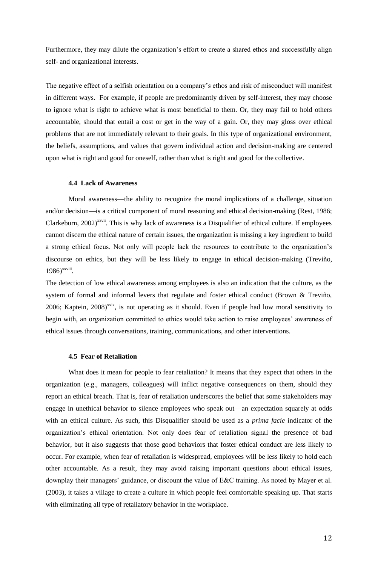Furthermore, they may dilute the organization's effort to create a shared ethos and successfully align self- and organizational interests.

The negative effect of a selfish orientation on a company's ethos and risk of misconduct will manifest in different ways. For example, if people are predominantly driven by self-interest, they may choose to ignore what is right to achieve what is most beneficial to them. Or, they may fail to hold others accountable, should that entail a cost or get in the way of a gain. Or, they may gloss over ethical problems that are not immediately relevant to their goals. In this type of organizational environment, the beliefs, assumptions, and values that govern individual action and decision-making are centered upon what is right and good for oneself, rather than what is right and good for the collective.

## **4.4 Lack of Awareness**

Moral awareness—the ability to recognize the moral implications of a challenge, situation and/or decision—is a critical component of moral reasoning and ethical decision-making (Rest, 1986; Clarkeburn,  $2002$ <sup>xxvii</sup>. This is why lack of awareness is a Disqualifier of ethical culture. If employees cannot discern the ethical nature of certain issues, the organization is missing a key ingredient to build a strong ethical focus. Not only will people lack the resources to contribute to the organization's discourse on ethics, but they will be less likely to engage in ethical decision-making (Treviño, 1986)<sup>xxviii</sup>.

The detection of low ethical awareness among employees is also an indication that the culture, as the system of formal and informal levers that regulate and foster ethical conduct (Brown & Treviño, 2006; Kaptein,  $2008$ <sup>xxix</sup>, is not operating as it should. Even if people had low moral sensitivity to begin with, an organization committed to ethics would take action to raise employees' awareness of ethical issues through conversations, training, communications, and other interventions.

## **4.5 Fear of Retaliation**

What does it mean for people to fear retaliation? It means that they expect that others in the organization (e.g., managers, colleagues) will inflict negative consequences on them, should they report an ethical breach. That is, fear of retaliation underscores the belief that some stakeholders may engage in unethical behavior to silence employees who speak out—an expectation squarely at odds with an ethical culture. As such, this Disqualifier should be used as a *prima facie* indicator of the organization's ethical orientation. Not only does fear of retaliation signal the presence of bad behavior, but it also suggests that those good behaviors that foster ethical conduct are less likely to occur. For example, when fear of retaliation is widespread, employees will be less likely to hold each other accountable. As a result, they may avoid raising important questions about ethical issues, downplay their managers' guidance, or discount the value of E&C training. As noted by Mayer et al. (2003), it takes a village to create a culture in which people feel comfortable speaking up. That starts with eliminating all type of retaliatory behavior in the workplace.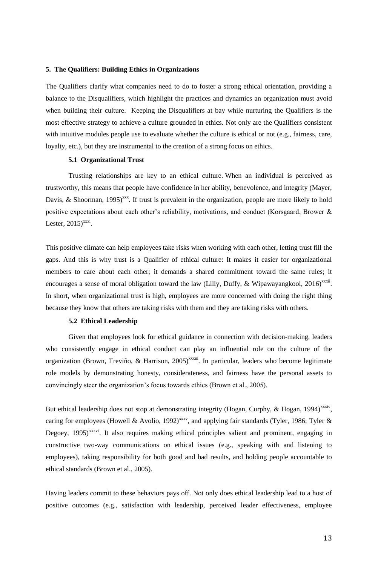## **5. The Qualifiers: Building Ethics in Organizations**

The Qualifiers clarify what companies need to do to foster a strong ethical orientation, providing a balance to the Disqualifiers, which highlight the practices and dynamics an organization must avoid when building their culture. Keeping the Disqualifiers at bay while nurturing the Qualifiers is the most effective strategy to achieve a culture grounded in ethics. Not only are the Qualifiers consistent with intuitive modules people use to evaluate whether the culture is ethical or not (e.g., fairness, care, loyalty, etc.), but they are instrumental to the creation of a strong focus on ethics.

#### **5.1 Organizational Trust**

Trusting relationships are key to an ethical culture. When an individual is perceived as trustworthy, this means that people have confidence in her ability, benevolence, and integrity (Mayer, Davis, & Shoorman, 1995)<sup>xxx</sup>. If trust is prevalent in the organization, people are more likely to hold positive expectations about each other's reliability, motivations, and conduct (Korsgaard, Brower & Lester,  $2015)$ <sup>xxxi</sup>.

This positive climate can help employees take risks when working with each other, letting trust fill the gaps. And this is why trust is a Qualifier of ethical culture: It makes it easier for organizational members to care about each other; it demands a shared commitment toward the same rules; it encourages a sense of moral obligation toward the law (Lilly, Duffy, & Wipawayangkool, 2016)<sup>xxxii</sup>. In short, when organizational trust is high, employees are more concerned with doing the right thing because they know that others are taking risks with them and they are taking risks with others.

# **5.2 Ethical Leadership**

Given that employees look for ethical guidance in connection with decision-making, leaders who consistently engage in ethical conduct can play an influential role on the culture of the organization (Brown, Treviño, & Harrison, 2005)<sup>xxxiii</sup>. In particular, leaders who become legitimate role models by demonstrating honesty, considerateness, and fairness have the personal assets to convincingly steer the organization's focus towards ethics (Brown et al., 2005).

But ethical leadership does not stop at demonstrating integrity (Hogan, Curphy, & Hogan, 1994)<sup>xxxiv</sup>, caring for employees (Howell & Avolio, 1992)<sup>xxxv</sup>, and applying fair standards (Tyler, 1986; Tyler & Degoey, 1995)<sup>xxxvi</sup>. It also requires making ethical principles salient and prominent, engaging in constructive two-way communications on ethical issues (e.g., speaking with and listening to employees), taking responsibility for both good and bad results, and holding people accountable to ethical standards (Brown et al., 2005).

Having leaders commit to these behaviors pays off. Not only does ethical leadership lead to a host of positive outcomes (e.g., satisfaction with leadership, perceived leader effectiveness, employee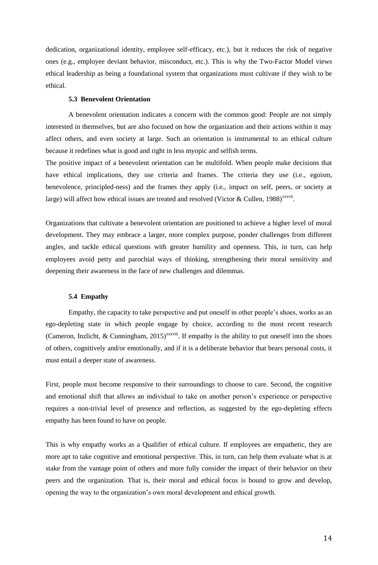dedication, organizational identity, employee self-efficacy, etc.), but it reduces the risk of negative ones (e.g., employee deviant behavior, misconduct, etc.). This is why the Two-Factor Model views ethical leadership as being a foundational system that organizations must cultivate if they wish to be ethical.

## **5.3 Benevolent Orientation**

A benevolent orientation indicates a concern with the common good: People are not simply interested in themselves, but are also focused on how the organization and their actions within it may affect others, and even society at large. Such an orientation is instrumental to an ethical culture because it redefines what is good and right in less myopic and selfish terms.

The positive impact of a benevolent orientation can be multifold. When people make decisions that have ethical implications, they use criteria and frames. The criteria they use (i.e., egoism, benevolence, principled-ness) and the frames they apply (i.e., impact on self, peers, or society at large) will affect how ethical issues are treated and resolved (Victor & Cullen, 1988)<sup>xxxvii</sup>.

Organizations that cultivate a benevolent orientation are positioned to achieve a higher level of moral development. They may embrace a larger, more complex purpose, ponder challenges from different angles, and tackle ethical questions with greater humility and openness. This, in turn, can help employees avoid petty and parochial ways of thinking, strengthening their moral sensitivity and deepening their awareness in the face of new challenges and dilemmas.

#### **5.4 Empathy**

Empathy, the capacity to take perspective and put oneself in other people's shoes, works as an ego-depleting state in which people engage by choice, according to the most recent research (Cameron, Inzlicht, & Cunningham, 2015)<sup>xxxviii</sup>. If empathy is the ability to put oneself into the shoes of others, cognitively and/or emotionally, and if it is a deliberate behavior that bears personal costs, it must entail a deeper state of awareness.

First, people must become responsive to their surroundings to choose to care. Second, the cognitive and emotional shift that allows an individual to take on another person's experience or perspective requires a non-trivial level of presence and reflection, as suggested by the ego-depleting effects empathy has been found to have on people.

This is why empathy works as a Qualifier of ethical culture. If employees are empathetic, they are more apt to take cognitive and emotional perspective. This, in turn, can help them evaluate what is at stake from the vantage point of others and more fully consider the impact of their behavior on their peers and the organization. That is, their moral and ethical focus is bound to grow and develop, opening the way to the organization's own moral development and ethical growth.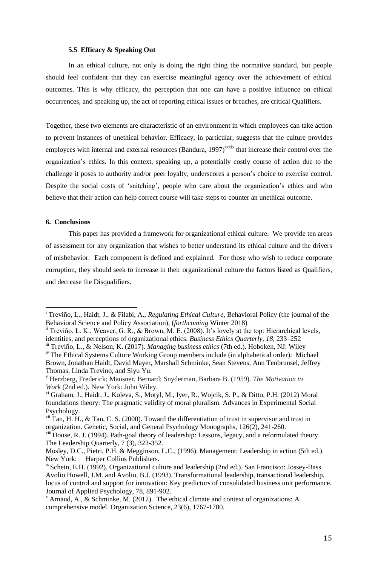#### **5.5 Efficacy & Speaking Out**

In an ethical culture, not only is doing the right thing the normative standard, but people should feel confident that they can exercise meaningful agency over the achievement of ethical outcomes. This is why efficacy, the perception that one can have a positive influence on ethical occurrences, and speaking up, the act of reporting ethical issues or breaches, are critical Qualifiers.

Together, these two elements are characteristic of an environment in which employees can take action to prevent instances of unethical behavior. Efficacy, in particular, suggests that the culture provides employees with internal and external resources (Bandura, 1997)<sup>xxxix</sup> that increase their control over the organization's ethics. In this context, speaking up, a potentially costly course of action due to the challenge it poses to authority and/or peer loyalty, underscores a person's choice to exercise control. Despite the social costs of 'snitching', people who care about the organization's ethics and who believe that their action can help correct course will take steps to counter an unethical outcome.

#### **6. Conclusions**

<u>.</u>

This paper has provided a framework for organizational ethical culture. We provide ten areas of assessment for any organization that wishes to better understand its ethical culture and the drivers of misbehavior. Each component is defined and explained. For those who wish to reduce corporate corruption, they should seek to increase in their organizational culture the factors listed as Qualifiers, and decrease the Disqualifiers.

<sup>i</sup> Treviño, L., Haidt, J., & Filabi, A., *Regulating Ethical Culture,* Behavioral Policy (the journal of the Behavioral Science and Policy Association), (*forthcoming* Winter 2018)

<sup>&</sup>lt;sup>ii</sup> Treviño, L. K., Weaver, G. R., & Brown, M. E. (2008). It's lovely at the top: Hierarchical levels, identities, and perceptions of organizational ethics. *Business Ethics Quarterly, 18,* 233–252

iii Treviño, L., & Nelson, K. (2017). *Managing business ethics* (7th ed.). Hoboken, NJ: Wiley iv The Ethical Systems Culture Working Group members include (in alphabetical order): Michael Brown, Jonathan Haidt, David Mayer, Marshall Schminke, Sean Stevens, Ann Tenbrunsel, Jeffrey Thomas, Linda Trevino, and Siyu Yu.

<sup>v</sup> Herzberg, Frederick; Mausner, Bernard; Snyderman, Barbara B. (1959). *The Motivation to Work* (2nd ed.). New York: John Wiley.

vi Graham, J., Haidt, J., Koleva, S., Motyl, M., Iyer, R., Wojcik, S. P., & Ditto, P.H. (2012) Moral foundations theory: The pragmatic validity of moral pluralism. Advances in Experimental Social Psychology.

vii Tan, H. H., & Tan, C. S. (2000). Toward the differentiation of trust in supervisor and trust in organization. Genetic, Social, and General Psychology Monographs, 126(2), 241-260.

viii House, R. J. (1994). [Path-goal theory of leadership: Lessons, legacy, and a reformulated theory.](javascript:void(0)) The Leadership Quarterly, 7 (3), 323-352.

Mosley, D.C., Pietri, P.H. & Megginson, L.C., (1996). Management: Leadership in action (5th ed.). New York: Harper Collins Publishers.

<sup>&</sup>lt;sup>ix</sup> Schein, E.H. (1992). Organizational culture and leadership (2nd ed.). San Francisco: Jossey-Bass. Avolio Howell, J.M. and Avolio, B.J. (1993). Transformational leadership, transactional leadership, locus of control and support for innovation: Key predictors of consolidated business unit performance. Journal of Applied Psychology, 78, 891-902.

 $^{\text{x}}$  Arnaud, A., & Schminke, M. (2012). The ethical climate and context of organizations: A comprehensive model. Organization Science, 23(6), 1767-1780.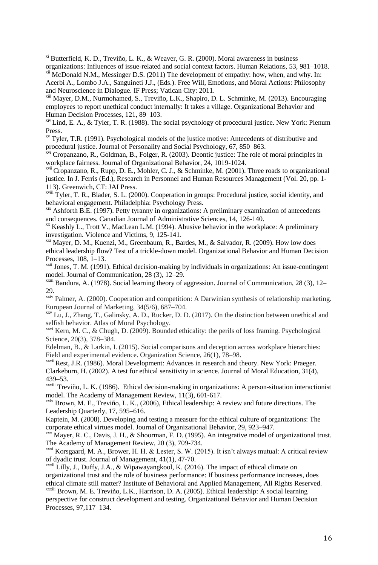<u>.</u> xi Butterfield, K. D., Treviño, L. K., & Weaver, G. R. (2000). Moral awareness in business organizations: Influences of issue-related and social context factors. Human Relations, 53, 981–1018.

 $\frac{x}{n}$  McDonald N.M., Messinger D.S. (2011) The development of empathy: how, when, and why. In: Acerbi A., Lombo J.A., Sanguineti J.J., (Eds.). Free Will, Emotions, and Moral Actions: Philosophy and Neuroscience in Dialogue. IF Press; Vatican City: 2011.

xiii Mayer, D.M., Nurmohamed, S., Treviño, L.K., Shapiro, D. L. Schminke, M. (2013). Encouraging employees to report unethical conduct internally: It takes a village. Organizational Behavior and Human Decision Processes, 121, 89–103.

 $x$ iv Lind, E. A., & Tyler, T. R. (1988). The social psychology of procedural justice. New York: Plenum Press.

 $x<sup>x<sub>v</sub></sup>$  Tyler, T.R. (1991). Psychological models of the justice motive: Antecedents of distributive and procedural justice. Journal of Personality and Social Psychology, 67, 850–863.

<sup>xvi</sup> Cropanzano, R., Goldman, B., Folger, R. (2003). Deontic justice: The role of moral principles in workplace fairness. Journal of Organizational Behavior, 24, 1019-1024.

<sup>xvii</sup> Cropanzano, R., Rupp, D. E., Mohler, C. J., & Schminke, M. (2001). Three roads to organizational justice. In J. Ferris (Ed.), Research in Personnel and Human Resources Management (Vol. 20, pp. 1- 113). Greenwich, CT: JAI Press.

xviii Tyler, T. R., Blader, S. L. (2000). Cooperation in groups: Procedural justice, social identity, and behavioral engagement. Philadelphia: Psychology Press.

xix Ashforth B.E. (1997). Petty tyranny in organizations: A preliminary examination of antecedents and consequences. Canadian Journal of Administrative Sciences, 14, 126-140.

 $\alpha$ <sup>xx</sup> Keashly L., Trott V., MacLean L.M. (1994). Abusive behavior in the workplace: A preliminary investigation. Violence and Victims, 9, 125-141.

<sup>xxi</sup> Mayer, D. M., Kuenzi, M., Greenbaum, R., Bardes, M., & Salvador, R. (2009). How low does ethical leadership flow? Test of a trickle-down model. Organizational Behavior and Human Decision Processes, 108, 1–13.

 $xxi$ <sup>xxii</sup> Jones, T. M. (1991). Ethical decision-making by individuals in organizations: An issue-contingent model. Journal of Communication, 28 (3), 12–29.

xxiii Bandura, A. (1978). Social learning theory of aggression. Journal of Communication, 28 (3), 12– 29.

xxiv Palmer, A. (2000). Cooperation and competition: A Darwinian synthesis of relationship marketing. European Journal of Marketing, 34(5/6), 687–704.

xxv Lu, J., Zhang, T., Galinsky, A. D., Rucker, D. D. (2017). On the distinction between unethical and selfish behavior. Atlas of Moral Psychology.

xxvi Kern, M. C., & Chugh, D. (2009). Bounded ethicality: the perils of loss framing. Psychological Science, 20(3), 378–384.

Edelman, B., & Larkin, I. (2015). Social comparisons and deception across workplace hierarchies: Field and experimental evidence. Organization Science, 26(1), 78–98.

xxvii Rest, J.R. (1986). Moral Development: Advances in research and theory. New York: Praeger. Clarkeburn, H. (2002). A test for ethical sensitivity in science. Journal of Moral Education, 31(4), 439–53.

xxviii Treviño, L. K. (1986). Ethical decision-making in organizations: A person-situation interactionist model. The Academy of Management Review, 11(3), 601-617.

 $x$ xxix Brown, M. E., Treviño, L. K., (2006), Ethical leadership: A review and future directions. The Leadership Quarterly, 17, 595–616.

Kaptein, M. (2008). Developing and testing a measure for the ethical culture of organizations: The corporate ethical virtues model. Journal of Organizational Behavior, 29, 923–947.

xxx Mayer, R. C., Davis, J. H., & Shoorman, F. D. (1995). An integrative model of organizational trust. The Academy of Management Review, 20 (3), 709-734.

<sup>xxxi</sup> Korsgaard, M. A., Brower, H. H. & Lester, S. W. (2015). It isn't always mutual: A critical review of dyadic trust. Journal of Management, 41(1), 47-70.

 $\frac{x}{x}$  Lilly, J., Duffy, J.A., & Wipawayangkool, K. (2016). The impact of ethical climate on organizational trust and the role of business performance: If business performance increases, does ethical climate still matter? Institute of Behavioral and Applied Management, All Rights Reserved. xxxiii Brown, M. E. Treviño, L.K., Harrison, D. A. (2005). Ethical leadership: A social learning

perspective for construct development and testing. Organizational Behavior and Human Decision Processes, 97,117–134.